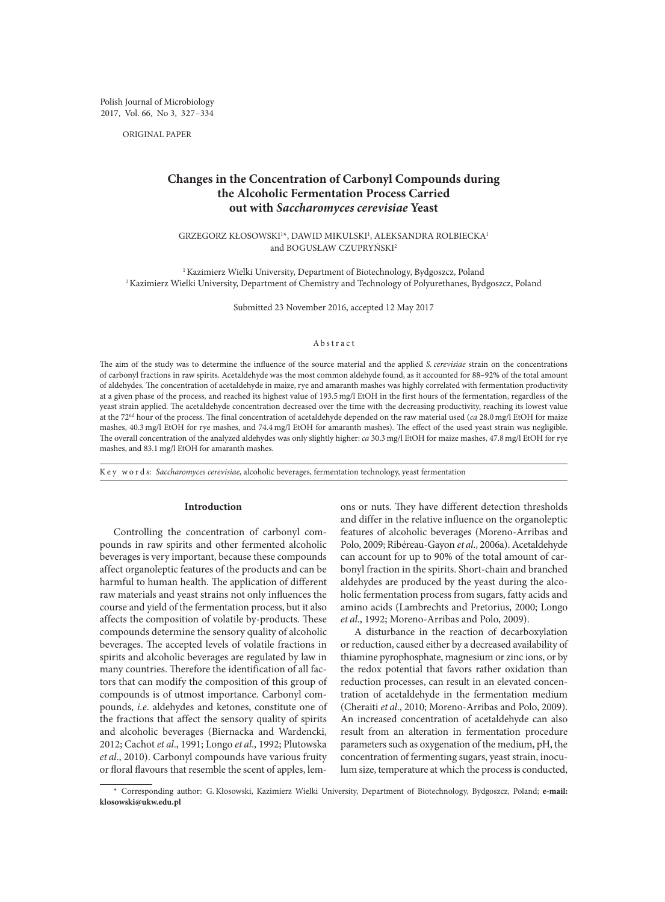Polish Journal of Microbiology 2017, Vol. 66, No 3, 327–334

ORIGINAL PAPER

# **Changes in the Concentration of Carbonyl Compounds during the Alcoholic Fermentation Process Carried out with** *Saccharomyces cerevisiae* **Yeast**

GRZEGORZ KŁOSOWSKI1 \*, DAWID MIKULSKI1 , ALEKSANDRA ROLBIECKA1 and BOGUSŁAW CZUPRYŃSKI<sup>2</sup>

<sup>1</sup>Kazimierz Wielki University, Department of Biotechnology, Bydgoszcz, Poland 2Kazimierz Wielki University, Department of Chemistry and Technology of Polyurethanes, Bydgoszcz, Poland

Submitted 23 November 2016, accepted 12 May 2017

# Abstract

The aim of the study was to determine the influence of the source material and the applied *S.cerevisiae* strain on the concentrations of carbonyl fractions in raw spirits. Acetaldehyde was the most common aldehyde found, as it accounted for 88–92% of the total amount of aldehydes. The concentration of acetaldehyde in maize, rye and amaranth mashes was highly correlated with fermentation productivity at a given phase of the process, and reached its highest value of 193.5 mg/l EtOH in the first hours of the fermentation, regardless of the yeast strain applied. The acetaldehyde concentration decreased over the time with the decreasing productivity, reaching its lowest value at the 72nd hour of the process. The final concentration of acetaldehyde depended on the raw material used (*ca* 28.0 mg/l EtOH for maize mashes, 40.3 mg/l EtOH for rye mashes, and 74.4 mg/l EtOH for amaranth mashes). The effect of the used yeast strain was negligible. The overall concentration of the analyzed aldehydes was only slightly higher: *ca* 30.3 mg/l EtOH for maize mashes, 47.8 mg/l EtOH for rye mashes, and 83.1 mg/l EtOH for amaranth mashes.

K e y w o r d s: *Saccharomyces cerevisiae*, alcoholic beverages, fermentation technology, yeast fermentation

## **Introduction**

Controlling the concentration of carbonyl compounds in raw spirits and other fermented alcoholic beverages is very important, because these compounds affect organoleptic features of the products and can be harmful to human health. The application of different raw materials and yeast strains not only influences the course and yield of the fermentation process, but it also affects the composition of volatile by-products. These compounds determine the sensory quality of alcoholic beverages. The accepted levels of volatile fractions in spirits and alcoholic beverages are regulated by law in many countries. Therefore the identification of all factors that can modify the composition of this group of compounds is of utmost importance. Carbonyl compounds, *i.e*. aldehydes and ketones, constitute one of the fractions that affect the sensory quality of spirits and alcoholic beverages (Biernacka and Wardencki, 2012; Cachot *et al*., 1991; Longo *et al*., 1992; Plutowska *et al*., 2010). Carbonyl compounds have various fruity or floral flavours that resemble the scent of apples, lem-

ons or nuts. They have different detection thresholds and differ in the relative influence on the organoleptic features of alcoholic beverages (Moreno-Arribas and Polo, 2009; Ribéreau-Gayon *et al*., 2006a). Acetaldehyde can account for up to 90% of the total amount of carbonyl fraction in the spirits. Short-chain and branched aldehydes are produced by the yeast during the alcoholic fermentation process from sugars, fatty acids and amino acids (Lambrechts and Pretorius, 2000; Longo *et al*., 1992; Moreno-Arribas and Polo, 2009).

A disturbance in the reaction of decarboxylation or reduction, caused either by a decreased availability of thiamine pyrophosphate, magnesium or zinc ions, or by the redox potential that favors rather oxidation than reduction processes, can result in an elevated concentration of acetaldehyde in the fermentation medium (Cheraiti *et al*., 2010; Moreno-Arribas and Polo, 2009). An increased concentration of acetaldehyde can also result from an alteration in fermentation procedure parameters such as oxygenation of the medium, pH, the concentration of fermenting sugars, yeast strain, inoculum size, temperature at which the process is conducted,

<sup>\*</sup> Corresponding author: G.Kłosowski, Kazimierz Wielki University, Department of Biotechnology, Bydgoszcz, Poland; **e-mail: klosowski@ukw.edu.pl**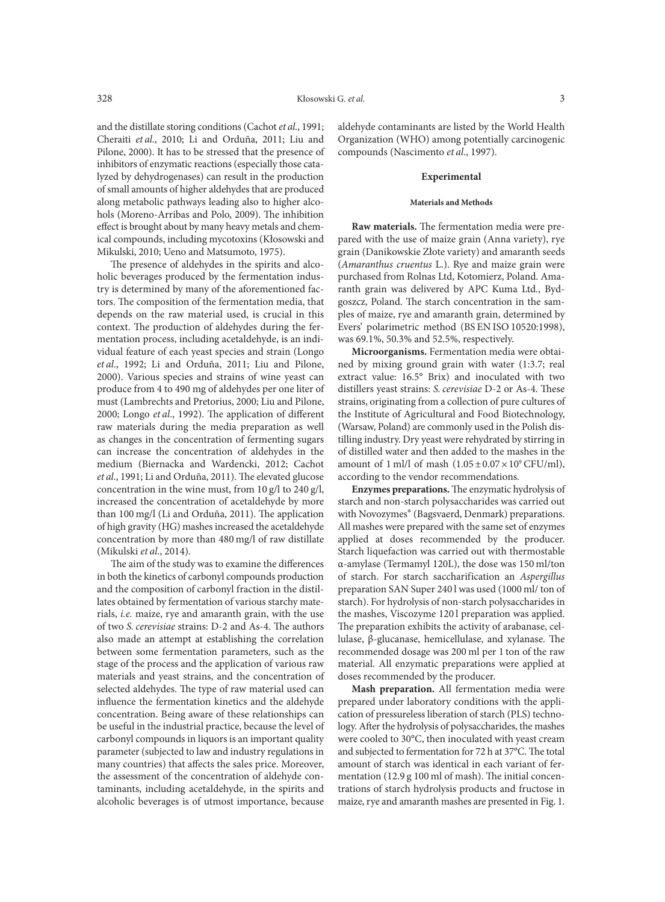lyzed by dehydrogenases) can result in the production of small amounts of higher aldehydes that are produced along metabolic pathways leading also to higher alcohols (Moreno-Arribas and Polo, 2009). The inhibition effect is brought about by many heavy metals and chemical compounds, including mycotoxins (Kłosowski and Mikulski, 2010; Ueno and Matsumoto, 1975).

The presence of aldehydes in the spirits and alcoholic beverages produced by the fermentation industry is determined by many of the aforementioned factors. The composition of the fermentation media, that depends on the raw material used, is crucial in this context. The production of aldehydes during the fermentation process, including acetaldehyde, is an individual feature of each yeast species and strain (Longo *et al*., 1992; Li and Orduña, 2011; Liu and Pilone, 2000). Various species and strains of wine yeast can produce from 4 to 490 mg of aldehydes per one liter of must (Lambrechts and Pretorius, 2000; Liu and Pilone, 2000; Longo *et al*., 1992). The application of different raw materials during the media preparation as well as changes in the concentration of fermenting sugars can increase the concentration of aldehydes in the medium (Biernacka and Wardencki, 2012; Cachot *et al*., 1991; Li and Orduña, 2011). The elevated glucose concentration in the wine must, from 10 g/l to 240 g/l, increased the concentration of acetaldehyde by more than 100 mg/l (Li and Orduña, 2011). The application of high gravity (HG) mashes increased the acetaldehyde concentration by more than 480 mg/l of raw distillate (Mikulski *et al*., 2014).

The aim of the study was to examine the differences in both the kinetics of carbonyl compounds production and the composition of carbonyl fraction in the distillates obtained by fermentation of various starchy materials, *i.e.* maize, rye and amaranth grain, with the use of two *S.cerevisiae* strains: D-2 and As-4. The authors also made an attempt at establishing the correlation between some fermentation parameters, such as the stage of the process and the application of various raw materials and yeast strains, and the concentration of selected aldehydes. The type of raw material used can influence the fermentation kinetics and the aldehyde concentration. Being aware of these relationships can be useful in the industrial practice, because the level of carbonyl compounds in liquors is an important quality parameter (subjected to law and industry regulations in many countries) that affects the sales price. Moreover, the assessment of the concentration of aldehyde contaminants, including acetaldehyde, in the spirits and alcoholic beverages is of utmost importance, because

aldehyde contaminants are listed by the World Health Organization (WHO) among potentially carcinogenic compounds (Nascimento *et al*., 1997).

## **Experimental**

#### **Materials and Methods**

**Raw materials.** The fermentation media were prepared with the use of maize grain (Anna variety), rye grain (Danikowskie Złote variety) and amaranth seeds (*Amaranthus cruentus* L.). Rye and maize grain were purchased from Rolnas Ltd, Kotomierz, Poland. Amaranth grain was delivered by APC Kuma Ltd., Bydgoszcz, Poland. The starch concentration in the samples of maize, rye and amaranth grain, determined by Evers' polarimetric method (BS EN ISO 10520:1998), was 69.1%, 50.3% and 52.5%, respectively.

**Microorganisms.** Fermentation media were obtained by mixing ground grain with water (1:3.7; real extract value: 16.5° Brix) and inoculated with two distillers yeast strains: *S.cerevisiae* D-2 or As-4. These strains, originating from a collection of pure cultures of the Institute of Agricultural and Food Biotechnology, (Warsaw, Poland) are commonly used in the Polish distilling industry. Dry yeast were rehydrated by stirring in of distilled water and then added to the mashes in the amount of 1 ml/l of mash  $(1.05 \pm 0.07 \times 10^9 \text{ CFU/ml})$ , according to the vendor recommendations.

**Enzymes preparations.** The enzymatic hydrolysis of starch and non-starch polysaccharides was carried out with Novozymes® (Bagsvaerd, Denmark) preparations. All mashes were prepared with the same set of enzymes applied at doses recommended by the producer. Starch liquefaction was carried out with thermostable α-amylase (Termamyl 120L), the dose was 150 ml/ton of starch. For starch saccharification an *Aspergillus* preparation SAN Super 240 l was used (1000 ml/ ton of starch). For hydrolysis of non-starch polysaccharides in the mashes, Viscozyme 120 l preparation was applied. The preparation exhibits the activity of arabanase, cellulase, β-glucanase, hemicellulase, and xylanase. The recommended dosage was 200 ml per 1 ton of the raw material. All enzymatic preparations were applied at doses recommended by the producer.

**Mash preparation.** All fermentation media were prepared under laboratory conditions with the application of pressureless liberation of starch (PLS) technology. After the hydrolysis of polysaccharides, the mashes were cooled to 30°C, then inoculated with yeast cream and subjected to fermentation for 72 h at 37°C. The total amount of starch was identical in each variant of fermentation (12.9 g 100 ml of mash). The initial concentrations of starch hydrolysis products and fructose in maize, rye and amaranth mashes are presented in Fig. 1.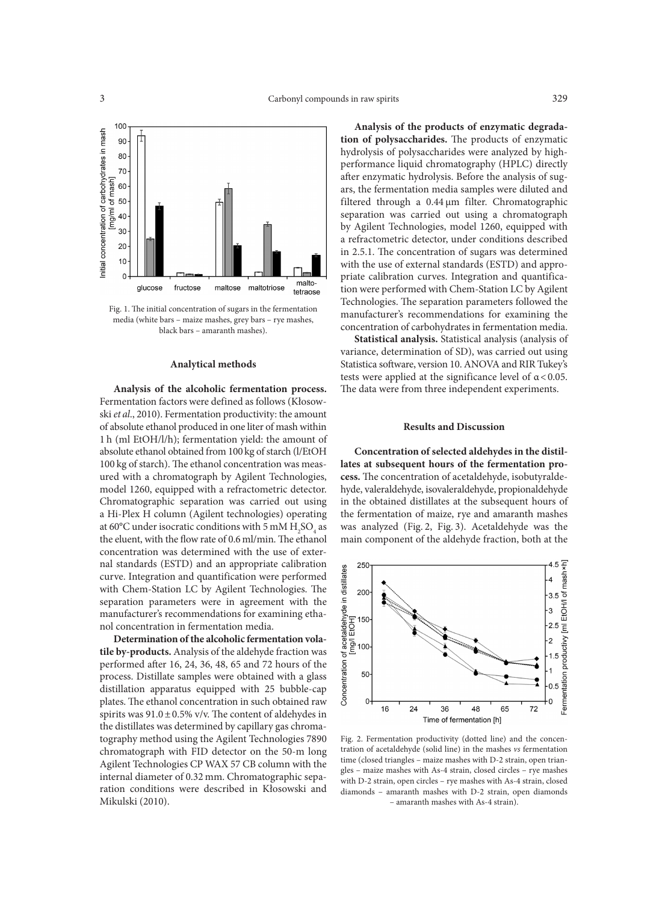

Fig. 1. The initial concentration of sugars in the fermentation media (white bars – maize mashes, grey bars – rye mashes, black bars – amaranth mashes).

### **Analytical methods**

**Analysis of the alcoholic fermentation process.**  Fermentation factors were defined as follows (Kłosowski *et al*., 2010). Fermentation productivity: the amount of absolute ethanol produced in one liter of mash within 1 h (ml EtOH/l/h); fermentation yield: the amount of absolute ethanol obtained from 100 kg of starch (l/EtOH 100 kg of starch). The ethanol concentration was measured with a chromatograph by Agilent Technologies, model 1260, equipped with a refractometric detector. Chromatographic separation was carried out using a Hi-Plex H column (Agilent technologies) operating at 60°C under isocratic conditions with 5 mM  $H_2SO_4$  as the eluent, with the flow rate of 0.6 ml/min. The ethanol concentration was determined with the use of external standards (ESTD) and an appropriate calibration curve. Integration and quantification were performed with Chem-Station LC by Agilent Technologies. The separation parameters were in agreement with the manufacturer's recommendations for examining ethanol concentration in fermentation media.

**Determination of the alcoholic fermentation volatile by-products.** Analysis of the aldehyde fraction was performed after 16, 24, 36, 48, 65 and 72 hours of the process. Distillate samples were obtained with a glass distillation apparatus equipped with 25 bubble-cap plates. The ethanol concentration in such obtained raw spirits was  $91.0 \pm 0.5\%$  v/v. The content of aldehydes in the distillates was determined by capillary gas chromatography method using the Agilent Technologies 7890 chromatograph with FID detector on the 50-m long Agilent Technologies CP WAX 57 CB column with the internal diameter of 0.32 mm. Chromatographic separation conditions were described in Kłosowski and Mikulski (2010).

**Analysis of the products of enzymatic degradation of polysaccharides.** The products of enzymatic hydrolysis of polysaccharides were analyzed by highperformance liquid chromatography (HPLC) directly after enzymatic hydrolysis. Before the analysis of sugars, the fermentation media samples were diluted and filtered through a 0.44 µm filter. Chromatographic separation was carried out using a chromatograph by Agilent Technologies, model 1260, equipped with a refractometric detector, under conditions described in 2.5.1. The concentration of sugars was determined with the use of external standards (ESTD) and appropriate calibration curves. Integration and quantification were performed with Chem-Station LC by Agilent Technologies. The separation parameters followed the manufacturer's recommendations for examining the concentration of carbohydrates in fermentation media.

**Statistical analysis.** Statistical analysis (analysis of variance, determination of SD), was carried out using Statistica software, version 10. ANOVA and RIR Tukey's tests were applied at the significance level of  $\alpha$  < 0.05. The data were from three independent experiments.

## **Results and Discussion**

**Concentration of selected aldehydes in the distillates at subsequent hours of the fermentation process.** The concentration of acetaldehyde, isobutyraldehyde, valeraldehyde, isovaleraldehyde, propionaldehyde in the obtained distillates at the subsequent hours of the fermentation of maize, rye and amaranth mashes was analyzed (Fig. 2, Fig. 3). Acetaldehyde was the main component of the aldehyde fraction, both at the



Fig. 2. Fermentation productivity (dotted line) and the concentration of acetaldehyde (solid line) in the mashes *vs* fermentation time (closed triangles – maize mashes with D-2 strain, open triangles – maize mashes with As-4 strain, closed circles – rye mashes with D-2 strain, open circles – rye mashes with As-4 strain, closed diamonds – amaranth mashes with D-2 strain, open diamonds – amaranth mashes with As-4 strain).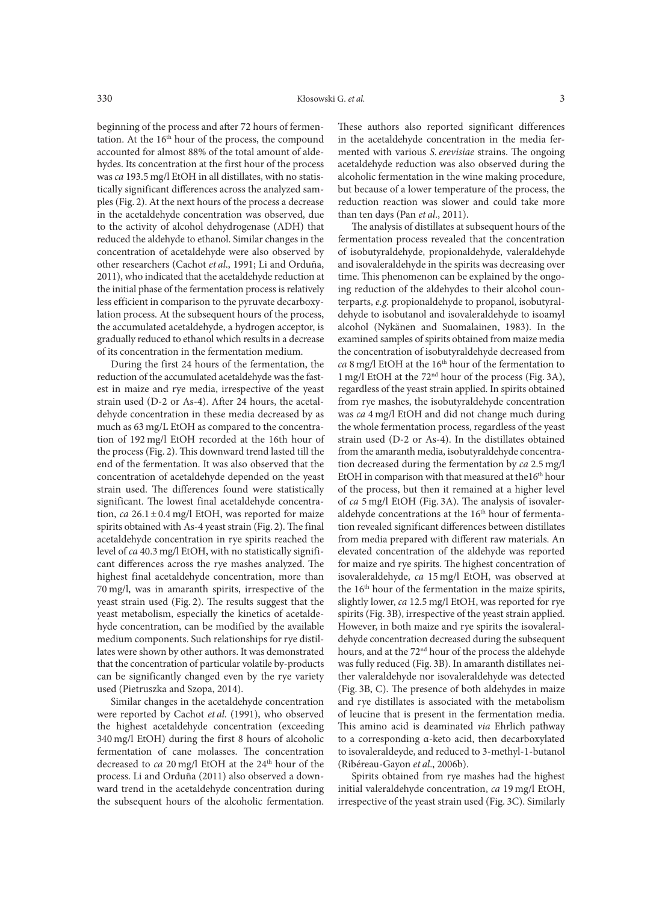beginning of the process and after 72 hours of fermentation. At the 16<sup>th</sup> hour of the process, the compound accounted for almost 88% of the total amount of aldehydes. Its concentration at the first hour of the process was *ca* 193.5 mg/l EtOH in all distillates, with no statistically significant differences across the analyzed samples (Fig. 2). At the next hours of the process a decrease in the acetaldehyde concentration was observed, due to the activity of alcohol dehydrogenase (ADH) that reduced the aldehyde to ethanol. Similar changes in the concentration of acetaldehyde were also observed by other researchers (Cachot *et al*., 1991; Li and Orduña, 2011), who indicated that the acetaldehyde reduction at the initial phase of the fermentation process is relatively less efficient in comparison to the pyruvate decarboxylation process. At the subsequent hours of the process, the accumulated acetaldehyde, a hydrogen acceptor, is gradually reduced to ethanol which results in a decrease of its concentration in the fermentation medium.

During the first 24 hours of the fermentation, the reduction of the accumulated acetaldehyde was the fastest in maize and rye media, irrespective of the yeast strain used (D-2 or As-4). After 24 hours, the acetaldehyde concentration in these media decreased by as much as 63 mg/L EtOH as compared to the concentration of 192 mg/l EtOH recorded at the 16th hour of the process (Fig. 2). This downward trend lasted till the end of the fermentation. It was also observed that the concentration of acetaldehyde depended on the yeast strain used. The differences found were statistically significant. The lowest final acetaldehyde concentration, *ca* 26.1±0.4 mg/l EtOH, was reported for maize spirits obtained with As-4 yeast strain (Fig. 2). The final acetaldehyde concentration in rye spirits reached the level of *ca* 40.3 mg/l EtOH, with no statistically significant differences across the rye mashes analyzed. The highest final acetaldehyde concentration, more than 70 mg/l, was in amaranth spirits, irrespective of the yeast strain used (Fig. 2). The results suggest that the yeast metabolism, especially the kinetics of acetaldehyde concentration, can be modified by the available medium components. Such relationships for rye distillates were shown by other authors. It was demonstrated that the concentration of particular volatile by-products can be significantly changed even by the rye variety used (Pietruszka and Szopa, 2014).

Similar changes in the acetaldehyde concentration were reported by Cachot *et al*. (1991), who observed the highest acetaldehyde concentration (exceeding 340 mg/l EtOH) during the first 8 hours of alcoholic fermentation of cane molasses. The concentration decreased to *ca* 20 mg/l EtOH at the 24<sup>th</sup> hour of the process. Li and Orduña (2011) also observed a downward trend in the acetaldehyde concentration during the subsequent hours of the alcoholic fermentation.

These authors also reported significant differences in the acetaldehyde concentration in the media fermented with various *S. erevisiae* strains. The ongoing acetaldehyde reduction was also observed during the alcoholic fermentation in the wine making procedure, but because of a lower temperature of the process, the reduction reaction was slower and could take more than ten days (Pan *et al*., 2011).

The analysis of distillates at subsequent hours of the fermentation process revealed that the concentration of isobutyraldehyde, propionaldehyde, valeraldehyde and isovaleraldehyde in the spirits was decreasing over time. This phenomenon can be explained by the ongoing reduction of the aldehydes to their alcohol counterparts, *e.g.* propionaldehyde to propanol, isobutyraldehyde to isobutanol and isovaleraldehyde to isoamyl alcohol (Nykänen and Suomalainen, 1983). In the examined samples of spirits obtained from maize media the concentration of isobutyraldehyde decreased from *ca* 8 mg/l EtOH at the 16<sup>th</sup> hour of the fermentation to 1 mg/l EtOH at the 72nd hour of the process (Fig. 3A), regardless of the yeast strain applied. In spirits obtained from rye mashes, the isobutyraldehyde concentration was *ca* 4 mg/l EtOH and did not change much during the whole fermentation process, regardless of the yeast strain used (D-2 or As-4). In the distillates obtained from the amaranth media, isobutyraldehyde concentration decreased during the fermentation by *ca* 2.5 mg/l EtOH in comparison with that measured at the16<sup>th</sup> hour of the process, but then it remained at a higher level of *ca* 5 mg/l EtOH (Fig. 3A). The analysis of isovaleraldehyde concentrations at the 16<sup>th</sup> hour of fermentation revealed significant differences between distillates from media prepared with different raw materials. An elevated concentration of the aldehyde was reported for maize and rye spirits. The highest concentration of isovaleraldehyde, *ca* 15 mg/l EtOH, was observed at the 16th hour of the fermentation in the maize spirits, slightly lower, *ca* 12.5 mg/l EtOH, was reported for rye spirits (Fig. 3B), irrespective of the yeast strain applied. However, in both maize and rye spirits the isovaleraldehyde concentration decreased during the subsequent hours, and at the 72<sup>nd</sup> hour of the process the aldehyde was fully reduced (Fig. 3B). In amaranth distillates neither valeraldehyde nor isovaleraldehyde was detected (Fig. 3B, C). The presence of both aldehydes in maize and rye distillates is associated with the metabolism of leucine that is present in the fermentation media. This amino acid is deaminated *via* Ehrlich pathway to a corresponding α-keto acid, then decarboxylated to isovaleraldeyde, and reduced to 3-methyl-1-butanol (Ribéreau-Gayon *et al*., 2006b).

Spirits obtained from rye mashes had the highest initial valeraldehyde concentration, *ca* 19 mg/l EtOH, irrespective of the yeast strain used (Fig. 3C). Similarly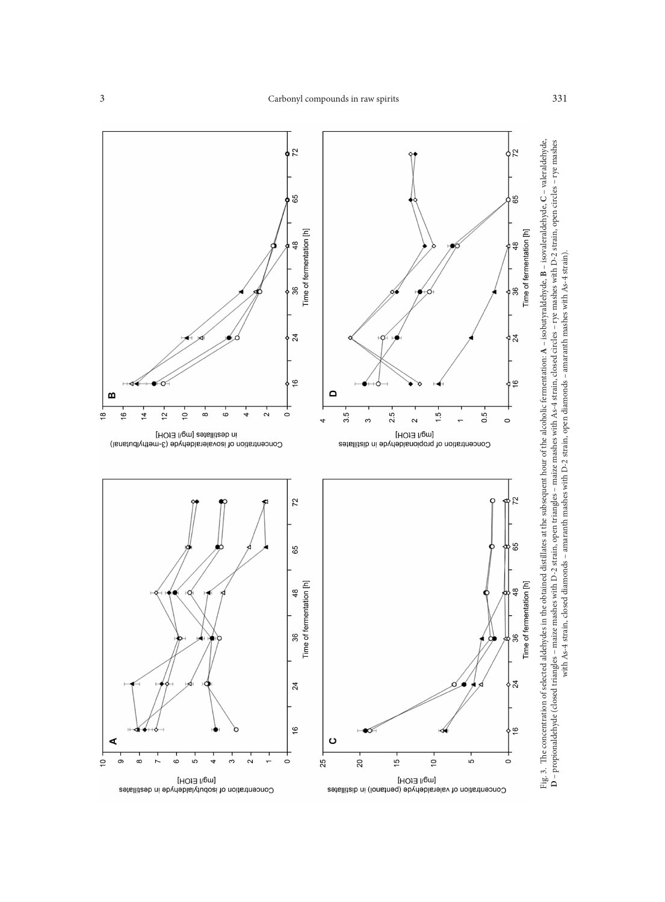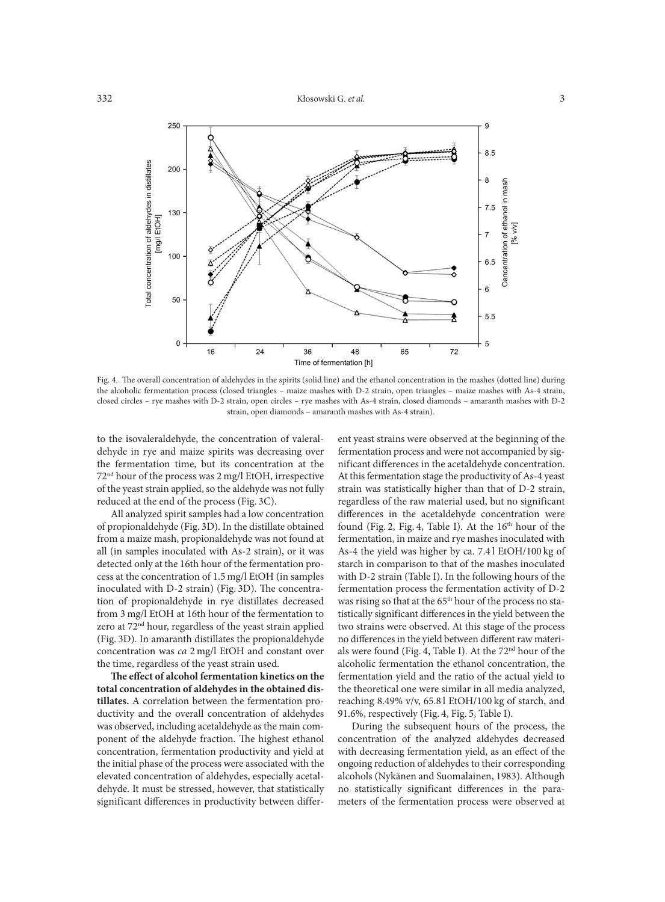

Fig. 4. The overall concentration of aldehydes in the spirits (solid line) and the ethanol concentration in the mashes (dotted line) during the alcoholic fermentation process (closed triangles – maize mashes with D-2 strain, open triangles – maize mashes with As-4 strain, closed circles – rye mashes with D-2 strain, open circles – rye mashes with As-4 strain, closed diamonds – amaranth mashes with D-2 strain, open diamonds – amaranth mashes with As-4 strain).

to the isovaleraldehyde, the concentration of valeraldehyde in rye and maize spirits was decreasing over the fermentation time, but its concentration at the 72nd hour of the process was 2 mg/l EtOH, irrespective of the yeast strain applied, so the aldehyde was not fully reduced at the end of the process (Fig. 3C).

All analyzed spirit samples had a low concentration of propionaldehyde (Fig. 3D). In the distillate obtained from a maize mash, propionaldehyde was not found at all (in samples inoculated with As-2 strain), or it was detected only at the 16th hour of the fermentation process at the concentration of 1.5 mg/l EtOH (in samples inoculated with D-2 strain) (Fig. 3D). The concentration of propionaldehyde in rye distillates decreased from 3 mg/l EtOH at 16th hour of the fermentation to zero at 72<sup>nd</sup> hour, regardless of the yeast strain applied (Fig. 3D). In amaranth distillates the propionaldehyde concentration was *ca* 2 mg/l EtOH and constant over the time, regardless of the yeast strain used.

**The effect of alcohol fermentation kinetics on the total concentration of aldehydes in the obtained distillates.** A correlation between the fermentation productivity and the overall concentration of aldehydes was observed, including acetaldehyde as the main component of the aldehyde fraction. The highest ethanol concentration, fermentation productivity and yield at the initial phase of the process were associated with the elevated concentration of aldehydes, especially acetaldehyde. It must be stressed, however, that statistically significant differences in productivity between different yeast strains were observed at the beginning of the fermentation process and were not accompanied by significant differences in the acetaldehyde concentration. At this fermentation stage the productivity of As-4 yeast strain was statistically higher than that of D-2 strain, regardless of the raw material used, but no significant differences in the acetaldehyde concentration were found (Fig. 2, Fig. 4, Table I). At the  $16<sup>th</sup>$  hour of the fermentation, in maize and rye mashes inoculated with As-4 the yield was higher by ca. 7.4 l EtOH/100 kg of starch in comparison to that of the mashes inoculated with D-2 strain (Table I). In the following hours of the fermentation process the fermentation activity of D-2 was rising so that at the 65<sup>th</sup> hour of the process no statistically significant differences in the yield between the two strains were observed. At this stage of the process no differences in the yield between different raw materials were found (Fig. 4, Table I). At the 72nd hour of the alcoholic fermentation the ethanol concentration, the fermentation yield and the ratio of the actual yield to the theoretical one were similar in all media analyzed, reaching 8.49% v/v, 65.8 l EtOH/100 kg of starch, and 91.6%, respectively (Fig. 4, Fig. 5, Table I).

During the subsequent hours of the process, the concentration of the analyzed aldehydes decreased with decreasing fermentation yield, as an effect of the ongoing reduction of aldehydes to their corresponding alcohols (Nykänen and Suomalainen, 1983). Although no statistically significant differences in the parameters of the fermentation process were observed at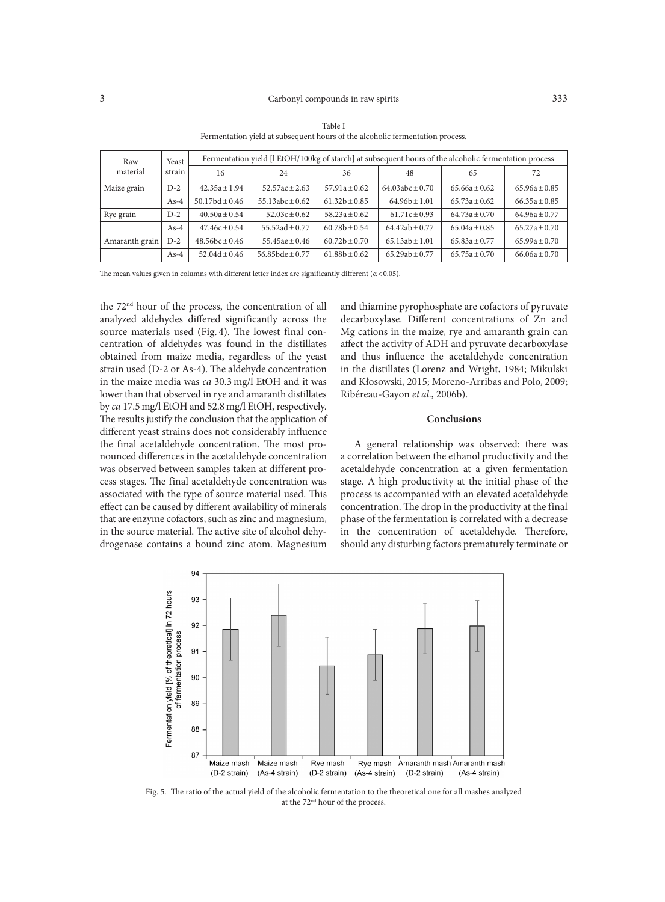| Raw<br>material | Yeast<br>strain | Fermentation yield [I EtOH/100kg of starch] at subsequent hours of the alcoholic fermentation process |                      |                   |                     |                   |                   |
|-----------------|-----------------|-------------------------------------------------------------------------------------------------------|----------------------|-------------------|---------------------|-------------------|-------------------|
|                 |                 | 16                                                                                                    | 24                   | 36                | 48                  | 65                | 72                |
| Maize grain     | $D-2$           | $42.35a \pm 1.94$                                                                                     | $52.57ac \pm 2.63$   | $57.91a \pm 0.62$ | $64.03abc \pm 0.70$ | $65.66a \pm 0.62$ | $65.96a \pm 0.85$ |
|                 | $As-4$          | $50.17bd \pm 0.46$                                                                                    | $55.13abc \pm 0.62$  | $61.32b \pm 0.85$ | $64.96b \pm 1.01$   | $65.73a \pm 0.62$ | $66.35a \pm 0.85$ |
| Rye grain       | $D-2$           | $40.50a \pm 0.54$                                                                                     | $52.03c \pm 0.62$    | $58.23a \pm 0.62$ | $61.71c \pm 0.93$   | $64.73a \pm 0.70$ | $64.96a \pm 0.77$ |
|                 | $As-4$          | $47.46c \pm 0.54$                                                                                     | $55.52ad \pm 0.77$   | $60.78b + 0.54$   | $64.42ab \pm 0.77$  | $65.04a \pm 0.85$ | $65.27a \pm 0.70$ |
| Amaranth grain  | $D-2$           | $48.56bc \pm 0.46$                                                                                    | $55.45ae \pm 0.46$   | $60.72b \pm 0.70$ | $65.13ab \pm 1.01$  | $65.83a \pm 0.77$ | $65.99a \pm 0.70$ |
|                 | As-4            | $52.04d + 0.46$                                                                                       | 56.85 $bde \pm 0.77$ | $61.88b + 0.62$   | $65.29ab \pm 0.77$  | $65.75a \pm 0.70$ | $66.06a \pm 0.70$ |

Table I Fermentation yield at subsequent hours of the alcoholic fermentation process.

The mean values given in columns with different letter index are significantly different  $(\alpha < 0.05)$ .

the 72nd hour of the process, the concentration of all analyzed aldehydes differed significantly across the source materials used (Fig. 4). The lowest final concentration of aldehydes was found in the distillates obtained from maize media, regardless of the yeast strain used (D-2 or As-4). The aldehyde concentration in the maize media was *ca* 30.3 mg/l EtOH and it was lower than that observed in rye and amaranth distillates by *ca* 17.5 mg/l EtOH and 52.8 mg/l EtOH, respectively. The results justify the conclusion that the application of different yeast strains does not considerably influence the final acetaldehyde concentration. The most pronounced differences in the acetaldehyde concentration was observed between samples taken at different process stages. The final acetaldehyde concentration was associated with the type of source material used. This effect can be caused by different availability of minerals that are enzyme cofactors, such as zinc and magnesium, in the source material. The active site of alcohol dehydrogenase contains a bound zinc atom. Magnesium

and thiamine pyrophosphate are cofactors of pyruvate decarboxylase. Different concentrations of Zn and Mg cations in the maize, rye and amaranth grain can affect the activity of ADH and pyruvate decarboxylase and thus influence the acetaldehyde concentration in the distillates (Lorenz and Wright, 1984; Mikulski and Kłosowski, 2015; Moreno-Arribas and Polo, 2009; Ribéreau-Gayon *et al*., 2006b).

## **Conclusions**

A general relationship was observed: there was a correlation between the ethanol productivity and the acetaldehyde concentration at a given fermentation stage. A high productivity at the initial phase of the process is accompanied with an elevated acetaldehyde concentration. The drop in the productivity at the final phase of the fermentation is correlated with a decrease in the concentration of acetaldehyde. Therefore, should any disturbing factors prematurely terminate or



Fig. 5. The ratio of the actual yield of the alcoholic fermentation to the theoretical one for all mashes analyzed at the 72nd hour of the process.